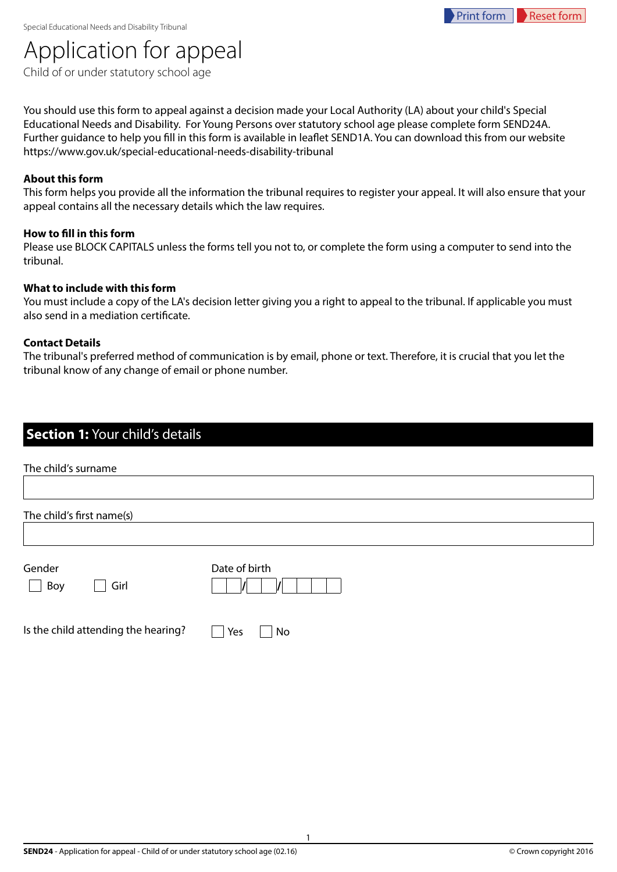# Application for appeal

Child of or under statutory school age

You should use this form to appeal against a decision made your Local Authority (LA) about your child's Special Educational Needs and Disability. For Young Persons over statutory school age please complete form SEND24A. Further guidance to help you fill in this form is available in leaflet SEND1A. You can download this from our website https://www.gov.uk/special-educational-needs-disability-tribunal

#### **About this form**

This form helps you provide all the information the tribunal requires to register your appeal. It will also ensure that your appeal contains all the necessary details which the law requires.

#### **How to fill in this form**

Please use BLOCK CAPITALS unless the forms tell you not to, or complete the form using a computer to send into the tribunal.

#### **What to include with this form**

You must include a copy of the LA's decision letter giving you a right to appeal to the tribunal. If applicable you must also send in a mediation certificate.

#### **Contact Details**

The tribunal's preferred method of communication is by email, phone or text. Therefore, it is crucial that you let the tribunal know of any change of email or phone number.

#### **Section 1:** Your child's details

| The child's surname |                           |               |  |
|---------------------|---------------------------|---------------|--|
|                     | The child's first name(s) |               |  |
| Gender              | Girl                      | Date of birth |  |
| Boy                 |                           |               |  |

Is the child attending the hearing?  $\Box$  Yes  $\Box$  No

1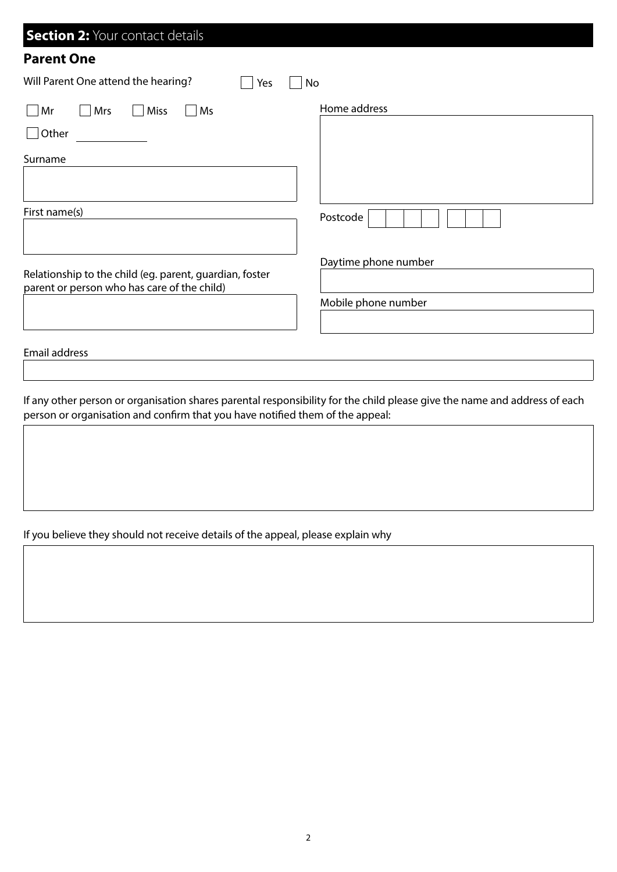| <b>Section 2: Your contact details</b>                                                                 |                      |
|--------------------------------------------------------------------------------------------------------|----------------------|
| <b>Parent One</b>                                                                                      |                      |
| Will Parent One attend the hearing?<br>No<br>Yes                                                       |                      |
| Mrs<br>Miss<br>Ms<br>Mr                                                                                | Home address         |
| Other                                                                                                  |                      |
| Surname                                                                                                |                      |
| First name(s)                                                                                          | Postcode             |
|                                                                                                        | Daytime phone number |
| Relationship to the child (eg. parent, guardian, foster<br>parent or person who has care of the child) |                      |
|                                                                                                        | Mobile phone number  |
| <b>Email address</b>                                                                                   |                      |

If any other person or organisation shares parental responsibility for the child please give the name and address of each person or organisation and confirm that you have notified them of the appeal:

If you believe they should not receive details of the appeal, please explain why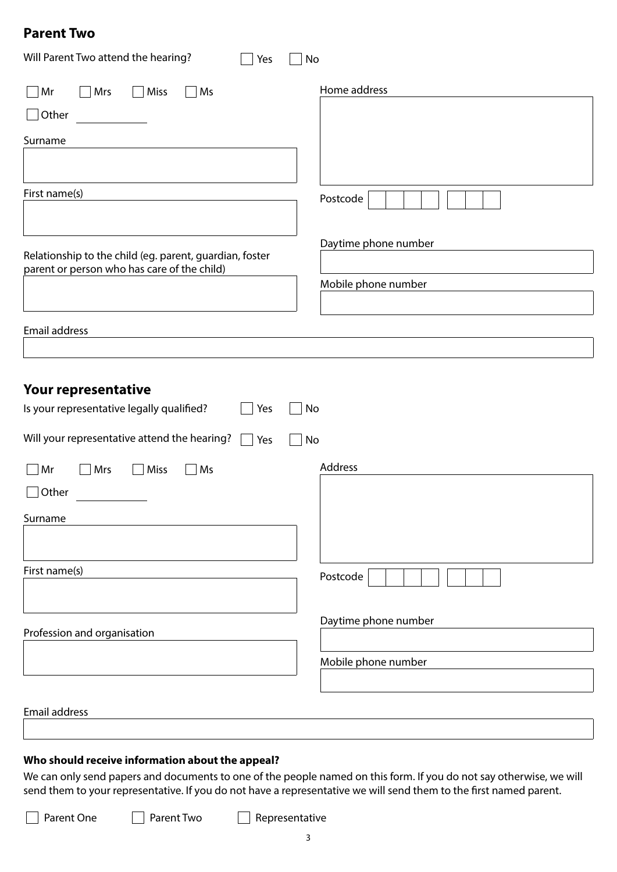#### **Parent Two**

| Will Parent Two attend the hearing?<br>Yes                                                             | No                   |
|--------------------------------------------------------------------------------------------------------|----------------------|
| Mrs<br>$\exists$ Miss<br>Mr<br>Ms<br>$\mathcal{L}$                                                     | Home address         |
| $\Box$ Other                                                                                           |                      |
| Surname                                                                                                |                      |
|                                                                                                        |                      |
| First name(s)                                                                                          | Postcode             |
|                                                                                                        | Daytime phone number |
| Relationship to the child (eg. parent, guardian, foster<br>parent or person who has care of the child) |                      |
|                                                                                                        | Mobile phone number  |
|                                                                                                        |                      |
| Email address                                                                                          |                      |
|                                                                                                        |                      |
| Your representative                                                                                    |                      |
| Is your representative legally qualified?<br>Yes                                                       | No                   |
| Will your representative attend the hearing?<br>Yes                                                    | No                   |
| Mrs<br>Miss<br>Ms<br>Mr                                                                                | Address              |
| Other                                                                                                  |                      |
| Surname                                                                                                |                      |
|                                                                                                        |                      |
| First name(s)                                                                                          | Postcode             |
|                                                                                                        | Daytime phone number |
| Profession and organisation                                                                            |                      |
|                                                                                                        | Mobile phone number  |
|                                                                                                        |                      |
| Email address                                                                                          |                      |
|                                                                                                        |                      |

#### **Who should receive information about the appeal?**

We can only send papers and documents to one of the people named on this form. If you do not say otherwise, we will send them to your representative. If you do not have a representative we will send them to the first named parent.

Parent One Parent Two Representative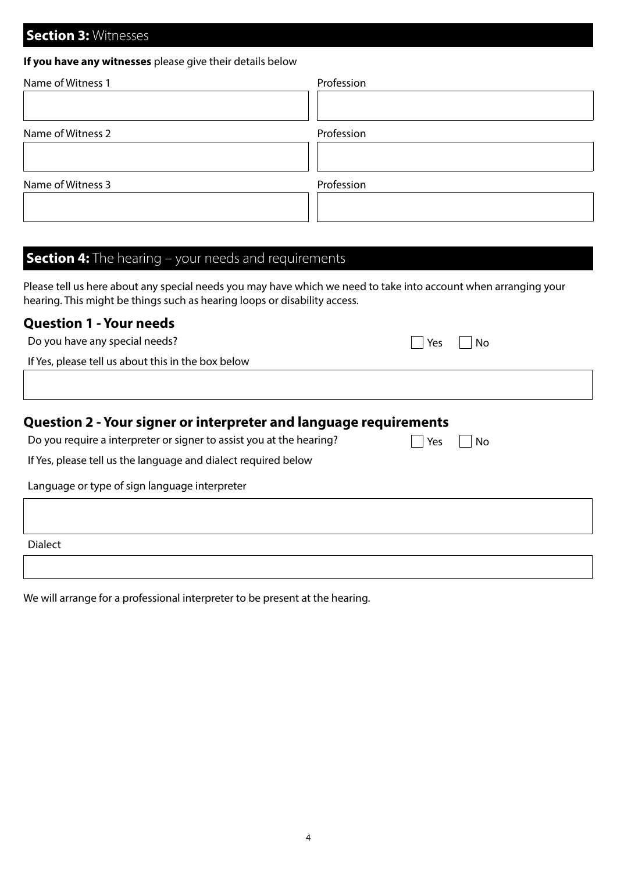#### **Section 3: Witnesses**

#### **If you have any witnesses** please give their details below

| Name of Witness 1 | Profession |  |
|-------------------|------------|--|
|                   |            |  |
| Name of Witness 2 | Profession |  |
|                   |            |  |
| Name of Witness 3 | Profession |  |
|                   |            |  |

### **Section 4:** The hearing – your needs and requirements

Please tell us here about any special needs you may have which we need to take into account when arranging your hearing. This might be things such as hearing loops or disability access.

#### **Question 1 - Your needs**

| Do you have any special needs?                     | Yes     No |  |
|----------------------------------------------------|------------|--|
| If Yes, please tell us about this in the box below |            |  |
|                                                    |            |  |
|                                                    |            |  |

#### **Question 2 - Your signer or interpreter and language requirements**

| Do you require a interpreter or signer to assist you at the hearing? | $\Box$ Yes $\Box$ No |  |
|----------------------------------------------------------------------|----------------------|--|
|----------------------------------------------------------------------|----------------------|--|

If Yes, please tell us the language and dialect required below

Language or type of sign language interpreter

Dialect

We will arrange for a professional interpreter to be present at the hearing.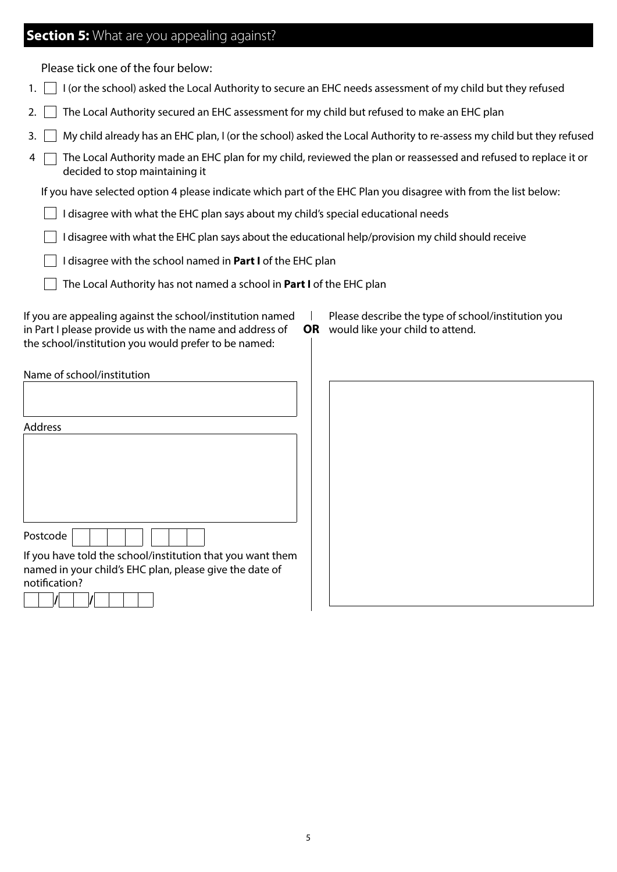#### **Section 5:** What are you appealing against?

Please tick one of the four below:

- 1.  $\Box$  I (or the school) asked the Local Authority to secure an EHC needs assessment of my child but they refused
- 2.  $\Box$  The Local Authority secured an EHC assessment for my child but refused to make an EHC plan
- 3. My child already has an EHC plan, I (or the school) asked the Local Authority to re-assess my child but they refused
- 4 The Local Authority made an EHC plan for my child, reviewed the plan or reassessed and refused to replace it or decided to stop maintaining it

 $\overline{1}$ 

If you have selected option 4 please indicate which part of the EHC Plan you disagree with from the list below:

- $\Box$  I disagree with what the EHC plan says about my child's special educational needs
- $\Box$  I disagree with what the EHC plan says about the educational help/provision my child should receive
- I disagree with the school named in **Part I** of the EHC plan
	- The Local Authority has not named a school in **Part I** of the EHC plan

If you are appealing against the school/institution named in Part I please provide us with the name and address of the school/institution you would prefer to be named:

Please describe the type of school/institution you **OR** would like your child to attend.

| Name of school/institution                                 |  |  |
|------------------------------------------------------------|--|--|
|                                                            |  |  |
|                                                            |  |  |
| <b>Address</b>                                             |  |  |
|                                                            |  |  |
|                                                            |  |  |
|                                                            |  |  |
|                                                            |  |  |
|                                                            |  |  |
| Postcode                                                   |  |  |
| If you have told the school/institution that you want them |  |  |
| named in your child's EHC plan, please give the date of    |  |  |
| notification?                                              |  |  |
|                                                            |  |  |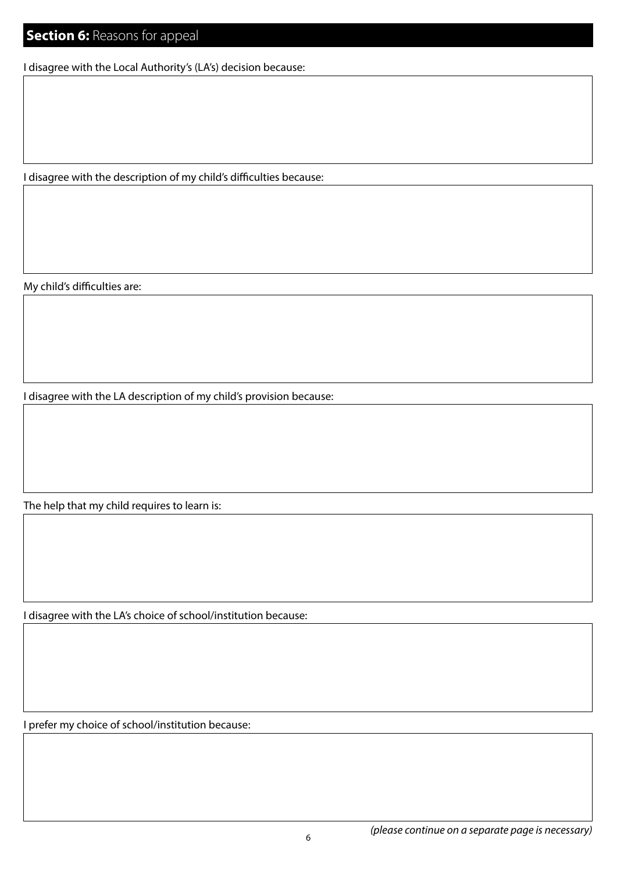I disagree with the Local Authority's (LA's) decision because:

I disagree with the description of my child's difficulties because:

My child's difficulties are:

I disagree with the LA description of my child's provision because:

The help that my child requires to learn is:

I disagree with the LA's choice of school/institution because:

I prefer my choice of school/institution because: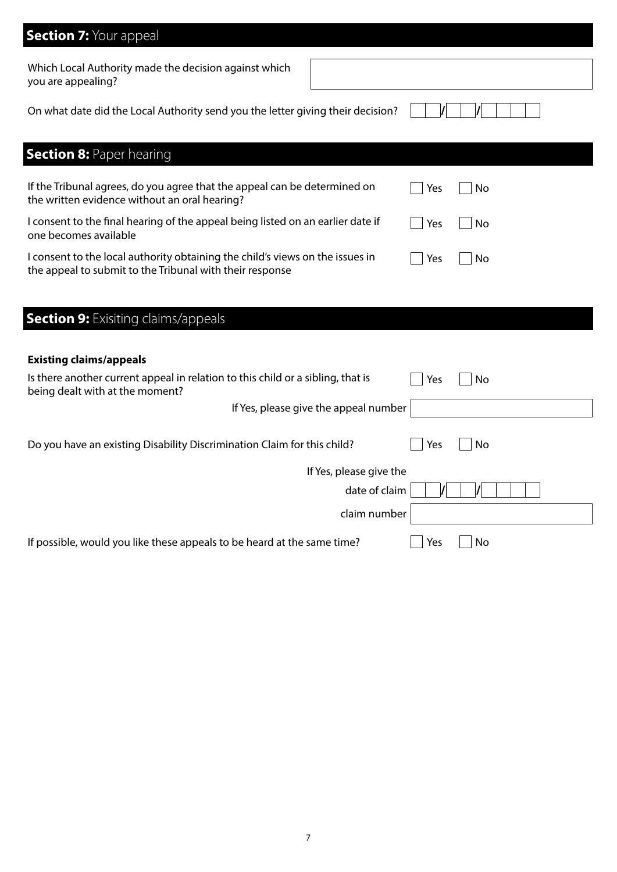| <b>Section 7: Your appeal</b>                                                                                                                          |
|--------------------------------------------------------------------------------------------------------------------------------------------------------|
| Which Local Authority made the decision against which<br>you are appealing?                                                                            |
| On what date did the Local Authority send you the letter giving their decision?                                                                        |
| <b>Section 8: Paper hearing</b>                                                                                                                        |
| If the Tribunal agrees, do you agree that the appeal can be determined on<br>No<br>Yes<br>the written evidence without an oral hearing?                |
| I consent to the final hearing of the appeal being listed on an earlier date if<br>No<br>Yes<br>one becomes available                                  |
| I consent to the local authority obtaining the child's views on the issues in<br>Yes<br>No<br>the appeal to submit to the Tribunal with their response |
|                                                                                                                                                        |
| <b>Section 9: Exisiting claims/appeals</b>                                                                                                             |
| <b>Existing claims/appeals</b>                                                                                                                         |
| Is there another current appeal in relation to this child or a sibling, that is<br>Yes<br>No<br>being dealt with at the moment?                        |
| If Yes, please give the appeal number                                                                                                                  |
| Do you have an existing Disability Discrimination Claim for this child?<br>No<br>Yes                                                                   |
| If Yes, please give the                                                                                                                                |
| date of claim                                                                                                                                          |
| claim number                                                                                                                                           |
| If possible, would you like these appeals to be heard at the same time?<br>Yes<br>No                                                                   |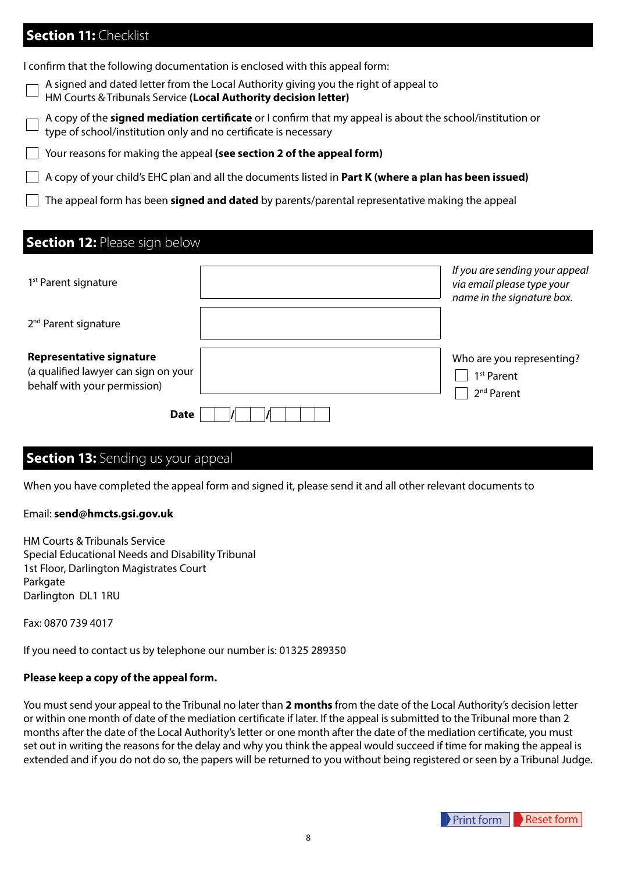#### **Section 11: Checklist**

I confirm that the following documentation is enclosed with this appeal form:

A signed and dated letter from the Local Authority giving you the right of appeal to

HM Courts & Tribunals Service **(Local Authority decision letter)**

A copy of the **signed mediation certificate** or I confirm that my appeal is about the school/institution or type of school/institution only and no certificate is necessary

Your reasons for making the appeal **(see section 2 of the appeal form)**

A copy of your child's EHC plan and all the documents listed in **Part K (where a plan has been issued)**

The appeal form has been **signed and dated** by parents/parental representative making the appeal

#### **Section 12: Please sign below**

| 1 <sup>st</sup> Parent signature                                                                        | If you are sending your appeal<br>via email please type your<br>name in the signature box. |
|---------------------------------------------------------------------------------------------------------|--------------------------------------------------------------------------------------------|
| 2 <sup>nd</sup> Parent signature                                                                        |                                                                                            |
| <b>Representative signature</b><br>(a qualified lawyer can sign on your<br>behalf with your permission) | Who are you representing?<br>1 <sup>st</sup> Parent<br>2 <sup>nd</sup> Parent              |
| <b>Date</b>                                                                                             |                                                                                            |

#### **Section 13: Sending us your appeal**

When you have completed the appeal form and signed it, please send it and all other relevant documents to

#### Email: **send@hmcts.gsi.gov.uk**

HM Courts & Tribunals Service Special Educational Needs and Disability Tribunal 1st Floor, Darlington Magistrates Court Parkgate Darlington DL1 1RU

Fax: 0870 739 4017

If you need to contact us by telephone our number is: 01325 289350

#### **Please keep a copy of the appeal form.**

You must send your appeal to the Tribunal no later than **2 months** from the date of the Local Authority's decision letter or within one month of date of the mediation certificate if later. If the appeal is submitted to the Tribunal more than 2 months after the date of the Local Authority's letter or one month after the date of the mediation certificate, you must set out in writing the reasons for the delay and why you think the appeal would succeed if time for making the appeal is extended and if you do not do so, the papers will be returned to you without being registered or seen by a Tribunal Judge.